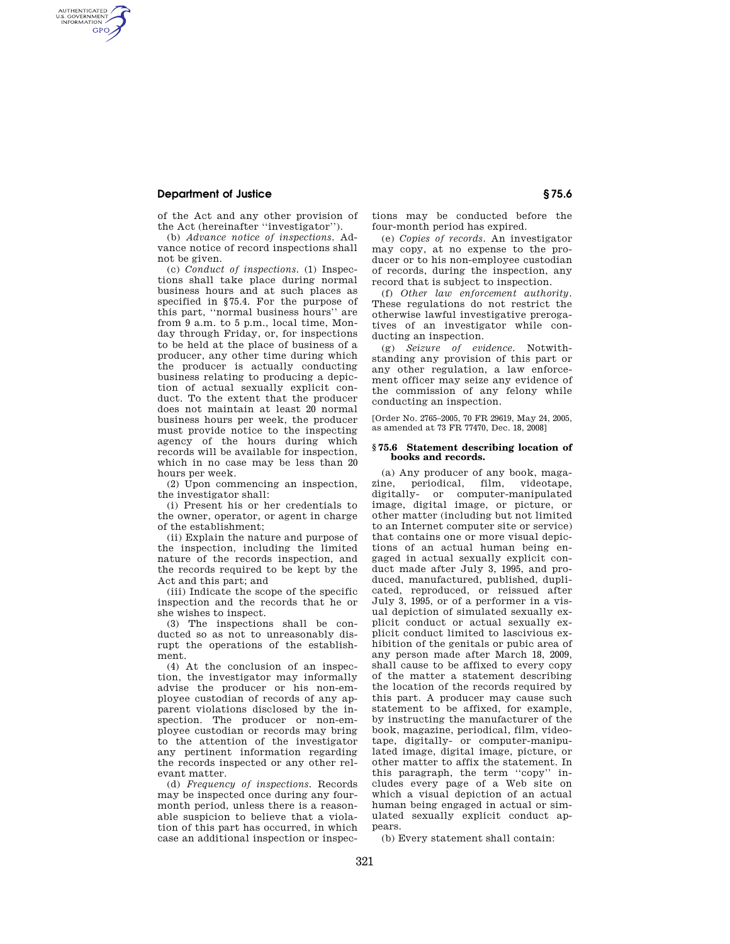## **Department of Justice § 75.6**

AUTHENTICATED<br>U.S. GOVERNMENT<br>INFORMATION **GPO** 

> of the Act and any other provision of the Act (hereinafter ''investigator'').

> (b) *Advance notice of inspections.* Advance notice of record inspections shall not be given.

> (c) *Conduct of inspections.* (1) Inspections shall take place during normal business hours and at such places as specified in §75.4. For the purpose of this part, ''normal business hours'' are from 9 a.m. to 5 p.m., local time, Monday through Friday, or, for inspections to be held at the place of business of a producer, any other time during which the producer is actually conducting business relating to producing a depiction of actual sexually explicit conduct. To the extent that the producer does not maintain at least 20 normal business hours per week, the producer must provide notice to the inspecting agency of the hours during which records will be available for inspection, which in no case may be less than 20 hours per week.

> (2) Upon commencing an inspection, the investigator shall:

> (i) Present his or her credentials to the owner, operator, or agent in charge of the establishment;

> (ii) Explain the nature and purpose of the inspection, including the limited nature of the records inspection, and the records required to be kept by the Act and this part; and

> (iii) Indicate the scope of the specific inspection and the records that he or she wishes to inspect.

> (3) The inspections shall be conducted so as not to unreasonably disrupt the operations of the establishment.

> (4) At the conclusion of an inspection, the investigator may informally advise the producer or his non-employee custodian of records of any apparent violations disclosed by the inspection. The producer or non-employee custodian or records may bring to the attention of the investigator any pertinent information regarding the records inspected or any other relevant matter.

> (d) *Frequency of inspections.* Records may be inspected once during any fourmonth period, unless there is a reasonable suspicion to believe that a violation of this part has occurred, in which case an additional inspection or inspec

tions may be conducted before the four-month period has expired.

(e) *Copies of records.* An investigator may copy, at no expense to the producer or to his non-employee custodian of records, during the inspection, any record that is subject to inspection.

(f) *Other law enforcement authority.*  These regulations do not restrict the otherwise lawful investigative prerogatives of an investigator while conducting an inspection.

(g) *Seizure of evidence.* Notwithstanding any provision of this part or any other regulation, a law enforcement officer may seize any evidence of the commission of any felony while conducting an inspection.

[Order No. 2765–2005, 70 FR 29619, May 24, 2005, as amended at 73 FR 77470, Dec. 18, 2008]

## **§ 75.6 Statement describing location of books and records.**

(a) Any producer of any book, magazine, periodical, film, videotape, digitally- or computer-manipulated image, digital image, or picture, or other matter (including but not limited to an Internet computer site or service) that contains one or more visual depictions of an actual human being engaged in actual sexually explicit conduct made after July 3, 1995, and produced, manufactured, published, duplicated, reproduced, or reissued after July 3, 1995, or of a performer in a visual depiction of simulated sexually explicit conduct or actual sexually explicit conduct limited to lascivious exhibition of the genitals or pubic area of any person made after March 18, 2009, shall cause to be affixed to every copy of the matter a statement describing the location of the records required by this part. A producer may cause such statement to be affixed, for example, by instructing the manufacturer of the book, magazine, periodical, film, videotape, digitally- or computer-manipulated image, digital image, picture, or other matter to affix the statement. In this paragraph, the term ''copy'' includes every page of a Web site on which a visual depiction of an actual human being engaged in actual or simulated sexually explicit conduct appears.

(b) Every statement shall contain: